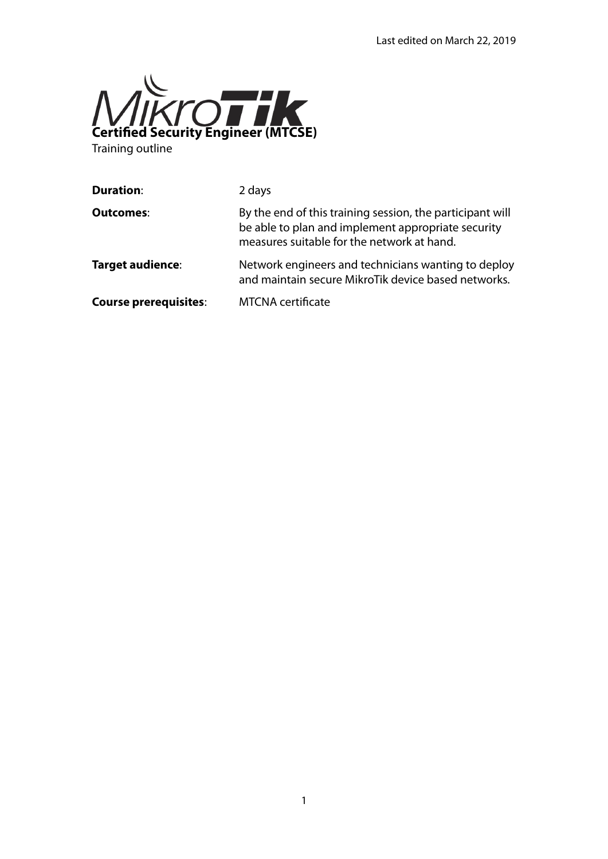

Training outline

| 2 days                                                                                                                                                        |
|---------------------------------------------------------------------------------------------------------------------------------------------------------------|
| By the end of this training session, the participant will<br>be able to plan and implement appropriate security<br>measures suitable for the network at hand. |
| Network engineers and technicians wanting to deploy<br>and maintain secure MikroTik device based networks.                                                    |
| <b>MTCNA</b> certificate                                                                                                                                      |
|                                                                                                                                                               |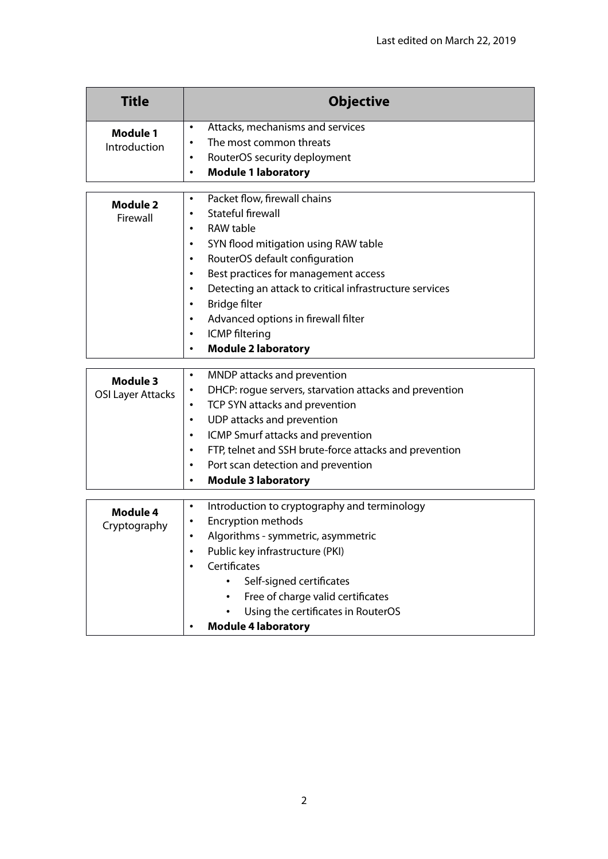| <b>Title</b>             | <b>Objective</b>                          |
|--------------------------|-------------------------------------------|
| Module 1<br>Introduction | Attacks, mechanisms and services          |
|                          | The most common threats                   |
|                          | RouterOS security deployment<br>$\bullet$ |
|                          | <b>Module 1 laboratory</b><br>$\bullet$   |

| Module 2 | Packet flow, firewall chains<br>$\bullet$                    |
|----------|--------------------------------------------------------------|
| Firewall | Stateful firewall<br>$\bullet$                               |
|          | RAW table<br>٠                                               |
|          | SYN flood mitigation using RAW table<br>$\bullet$            |
|          | RouterOS default configuration<br>$\bullet$                  |
|          | Best practices for management access<br>٠                    |
|          | Detecting an attack to critical infrastructure services<br>٠ |
|          | Bridge filter<br>٠                                           |
|          | Advanced options in firewall filter<br>٠                     |
|          | <b>ICMP</b> filtering<br>$\bullet$                           |
|          | <b>Module 2 laboratory</b><br>٠                              |

| Module 3<br><b>OSI Layer Attacks</b> | $\bullet$ | MNDP attacks and prevention                            |
|--------------------------------------|-----------|--------------------------------------------------------|
|                                      | $\bullet$ | DHCP: rogue servers, starvation attacks and prevention |
|                                      | $\bullet$ | TCP SYN attacks and prevention                         |
|                                      | $\bullet$ | UDP attacks and prevention                             |
|                                      | $\bullet$ | ICMP Smurf attacks and prevention                      |
|                                      | $\bullet$ | FTP, telnet and SSH brute-force attacks and prevention |
|                                      | $\bullet$ | Port scan detection and prevention                     |
|                                      | $\bullet$ | <b>Module 3 laboratory</b>                             |

| Module 4<br>Cryptography | Introduction to cryptography and terminology<br>$\bullet$ |
|--------------------------|-----------------------------------------------------------|
|                          | <b>Encryption methods</b><br>$\bullet$                    |
|                          | Algorithms - symmetric, asymmetric<br>٠                   |
|                          | Public key infrastructure (PKI)<br>$\bullet$              |
|                          | Certificates<br>$\bullet$                                 |
|                          | Self-signed certificates<br>$\bullet$                     |
|                          | Free of charge valid certificates<br>$\bullet$            |
|                          | Using the certificates in RouterOS<br>$\bullet$           |
|                          | <b>Module 4 laboratory</b><br>٠                           |